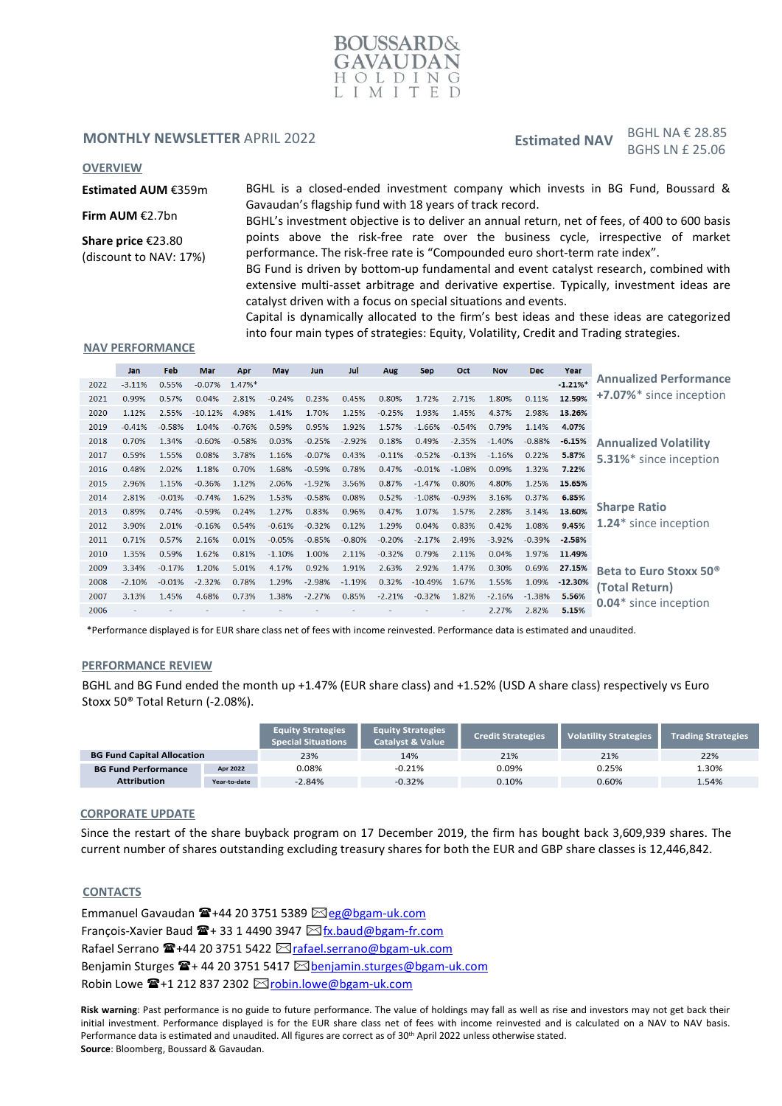

# **MONTHLY NEWSLETTER APRIL 2022**

Estimated NAV BGHL NA  $\epsilon$  28.85 BGHS LN £ 25.06

#### **OVERVIEW**

**Estimated AUM** €359m

BGHL is a closed-ended investment company which invests in BG Fund, Boussard & Gavaudan's flagship fund with 18 years of track record.

**Share price** €23.80 (discount to NAV: 17%)

**Firm AUM** €2.7bn

BGHL's investment objective is to deliver an annual return, net of fees, of 400 to 600 basis points above the risk-free rate over the business cycle, irrespective of market performance. The risk-free rate is "Compounded euro short-term rate index".

BG Fund is driven by bottom-up fundamental and event catalyst research, combined with extensive multi-asset arbitrage and derivative expertise. Typically, investment ideas are catalyst driven with a focus on special situations and events.

Capital is dynamically allocated to the firm's best ideas and these ideas are categorized into four main types of strategies: Equity, Volatility, Credit and Trading strategies.

### **NAV PERFORMANCE**

|      | Jan      | Feb      | <b>Mar</b> | Apr       | <b>May</b> | Jun      | Jul      | Aug      | <b>Sep</b> | Oct      | <b>Nov</b> | <b>Dec</b> | Year      |                                    |
|------|----------|----------|------------|-----------|------------|----------|----------|----------|------------|----------|------------|------------|-----------|------------------------------------|
| 2022 | $-3.11%$ | 0.55%    | $-0.07%$   | $1.47%$ * |            |          |          |          |            |          |            |            | $-1.21%$  | <b>Annualized Performance</b>      |
| 2021 | 0.99%    | 0.57%    | 0.04%      | 2.81%     | $-0.24%$   | 0.23%    | 0.45%    | 0.80%    | 1.72%      | 2.71%    | 1.80%      | 0.11%      | 12.59%    | +7.07%* since inception            |
| 2020 | 1.12%    | 2.55%    | $-10.12%$  | 4.98%     | 1.41%      | 1.70%    | 1.25%    | $-0.25%$ | 1.93%      | 1.45%    | 4.37%      | 2.98%      | 13.26%    |                                    |
| 2019 | $-0.41%$ | $-0.58%$ | 1.04%      | $-0.76%$  | 0.59%      | 0.95%    | 1.92%    | 1.57%    | $-1.66%$   | $-0.54%$ | 0.79%      | 1.14%      | 4.07%     |                                    |
| 2018 | 0.70%    | 1.34%    | $-0.60%$   | $-0.58%$  | 0.03%      | $-0.25%$ | $-2.92%$ | 0.18%    | 0.49%      | $-2.35%$ | $-1.40%$   | $-0.88%$   | $-6.15%$  | <b>Annualized Volatility</b>       |
| 2017 | 0.59%    | 1.55%    | 0.08%      | 3.78%     | 1.16%      | $-0.07%$ | 0.43%    | $-0.11%$ | $-0.52%$   | $-0.13%$ | $-1.16%$   | 0.22%      | 5.87%     | 5.31%* since inception             |
| 2016 | 0.48%    | 2.02%    | 1.18%      | 0.70%     | 1.68%      | $-0.59%$ | 0.78%    | 0.47%    | $-0.01%$   | $-1.08%$ | 0.09%      | 1.32%      | 7.22%     |                                    |
| 2015 | 2.96%    | 1.15%    | $-0.36%$   | 1.12%     | 2.06%      | $-1.92%$ | 3.56%    | 0.87%    | $-1.47%$   | 0.80%    | 4.80%      | 1.25%      | 15.65%    |                                    |
| 2014 | 2.81%    | $-0.01%$ | $-0.74%$   | 1.62%     | 1.53%      | $-0.58%$ | 0.08%    | 0.52%    | $-1.08%$   | $-0.93%$ | 3.16%      | 0.37%      | 6.85%     |                                    |
| 2013 | 0.89%    | 0.74%    | $-0.59%$   | 0.24%     | 1.27%      | 0.83%    | 0.96%    | 0.47%    | 1.07%      | 1.57%    | 2.28%      | 3.14%      | 13.60%    | <b>Sharpe Ratio</b>                |
| 2012 | 3.90%    | 2.01%    | $-0.16%$   | 0.54%     | $-0.61%$   | $-0.32%$ | 0.12%    | 1.29%    | 0.04%      | 0.83%    | 0.42%      | 1.08%      | 9.45%     | 1.24* since inception              |
| 2011 | 0.71%    | 0.57%    | 2.16%      | 0.01%     | $-0.05%$   | $-0.85%$ | $-0.80%$ | $-0.20%$ | $-2.17%$   | 2.49%    | $-3.92%$   | $-0.39%$   | $-2.58%$  |                                    |
| 2010 | 1.35%    | 0.59%    | 1.62%      | 0.81%     | $-1.10%$   | 1.00%    | 2.11%    | $-0.32%$ | 0.79%      | 2.11%    | 0.04%      | 1.97%      | 11.49%    |                                    |
| 2009 | 3.34%    | $-0.17%$ | 1.20%      | 5.01%     | 4.17%      | 0.92%    | 1.91%    | 2.63%    | 2.92%      | 1.47%    | 0.30%      | 0.69%      | 27.15%    | Beta to Euro Stoxx 50 <sup>®</sup> |
| 2008 | $-2.10%$ | $-0.01%$ | $-2.32%$   | 0.78%     | 1.29%      | $-2.98%$ | $-1.19%$ | 0.32%    | $-10.49%$  | 1.67%    | 1.55%      | 1.09%      | $-12.30%$ | (Total Return)                     |
| 2007 | 3.13%    | 1.45%    | 4.68%      | 0.73%     | 1.38%      | $-2.27%$ | 0.85%    | $-2.21%$ | $-0.32%$   | 1.82%    | $-2.16%$   | $-1.38%$   | 5.56%     |                                    |
| 2006 |          |          |            |           |            |          |          |          |            |          | 2.27%      | 2.82%      | 5.15%     | 0.04* since inception              |
|      |          |          |            |           |            |          |          |          |            |          |            |            |           |                                    |

\*Performance displayed is for EUR share class net of fees with income reinvested. Performance data is estimated and unaudited.

### **PERFORMANCE REVIEW**

BGHL and BG Fund ended the month up +1.47% (EUR share class) and +1.52% (USD A share class) respectively vs Euro Stoxx 50® Total Return (-2.08%).

|                                   |              | <b>Equity Strategies</b><br><b>Special Situations</b> | <b>Equity Strategies</b><br><b>Catalyst &amp; Value</b> | <b>Credit Strategies</b> | <b>Volatility Strategies</b> | <b>Trading Strategies</b> |
|-----------------------------------|--------------|-------------------------------------------------------|---------------------------------------------------------|--------------------------|------------------------------|---------------------------|
| <b>BG Fund Capital Allocation</b> |              | 23%                                                   | 14%                                                     | 21%                      | 21%                          | 22%                       |
| <b>BG Fund Performance</b>        | Apr 2022     | 0.08%                                                 | $-0.21%$                                                | 0.09%                    | 0.25%                        | L.30%                     |
| <b>Attribution</b>                | Year-to-date | $-2.84%$                                              | $-0.32%$                                                | 0.10%                    | 0.60%                        | 1.54%                     |

#### **CORPORATE UPDATE**

Since the restart of the share buyback program on 17 December 2019, the firm has bought back 3,609,939 shares. The current number of shares outstanding excluding treasury shares for both the EUR and GBP share classes is 12,446,842.

## **CONTACTS**

Emmanuel Gavaudan  $\mathbf{E}$ +44 20 3751 5389  $\boxtimes$ [eg@bgam-uk.com](mailto:eg@bgam-uk.com) François-Xavier Baud  $\mathbf{\mathbb{F}}$ +33 1 4490 3947  $\boxtimes$ [fx.baud@bgam-fr.com](mailto:fx.baud@bgam-fr.com) Rafael Serrano <sup>•</sup>+44 20 3751 5422 ⊠[rafael.serrano@bgam-uk.com](mailto:rafael.serrano@bgam-uk.com) Benjamin Sturges  $\mathbf{F}$ + 44 20 3751 5417  $\boxtimes$  [benjamin.sturges@bgam-uk.com](mailto:benjamin.sturges@bgam-uk.com) Robin Lowe ☎+1 212 837 2302 ⊠[robin.lowe@bgam-uk.com](mailto:robin.lowe@bgam-uk.com)

**Risk warning**: Past performance is no guide to future performance. The value of holdings may fall as well as rise and investors may not get back their initial investment. Performance displayed is for the EUR share class net of fees with income reinvested and is calculated on a NAV to NAV basis. Performance data is estimated and unaudited. All figures are correct as of 30<sup>th</sup> April 2022 unless otherwise stated. **Source**: Bloomberg, Boussard & Gavaudan.